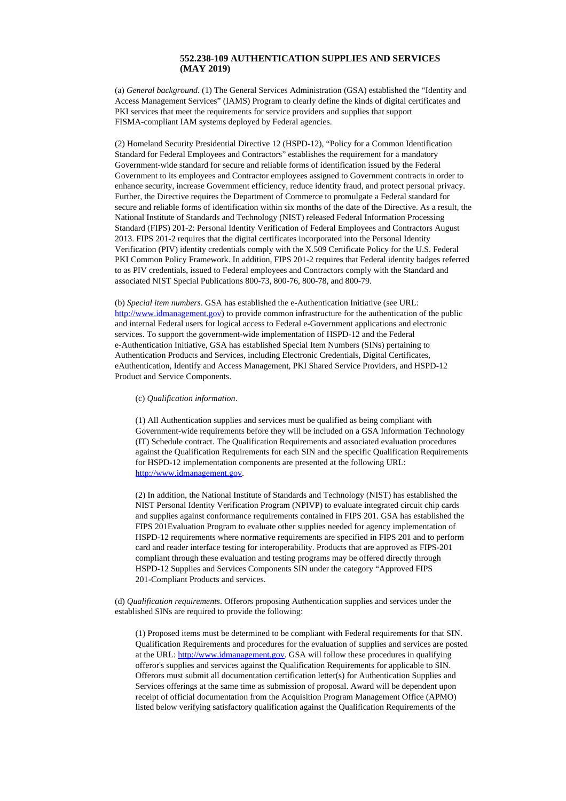## **552.238-109 AUTHENTICATION SUPPLIES AND SERVICES (MAY 2019)**

(a) *General background*. (1) The General Services Administration (GSA) established the "Identity and Access Management Services" (IAMS) Program to clearly define the kinds of digital certificates and PKI services that meet the requirements for service providers and supplies that support FISMA-compliant IAM systems deployed by Federal agencies.

(2) Homeland Security Presidential Directive 12 (HSPD-12), "Policy for a Common Identification Standard for Federal Employees and Contractors" establishes the requirement for a mandatory Government-wide standard for secure and reliable forms of identification issued by the Federal Government to its employees and Contractor employees assigned to Government contracts in order to enhance security, increase Government efficiency, reduce identity fraud, and protect personal privacy. Further, the Directive requires the Department of Commerce to promulgate a Federal standard for secure and reliable forms of identification within six months of the date of the Directive. As a result, the National Institute of Standards and Technology (NIST) released Federal Information Processing Standard (FIPS) 201-2: Personal Identity Verification of Federal Employees and Contractors August 2013. FIPS 201-2 requires that the digital certificates incorporated into the Personal Identity Verification (PIV) identity credentials comply with the X.509 Certificate Policy for the U.S. Federal PKI Common Policy Framework. In addition, FIPS 201-2 requires that Federal identity badges referred to as PIV credentials, issued to Federal employees and Contractors comply with the Standard and associated NIST Special Publications 800-73, 800-76, 800-78, and 800-79.

(b) *Special item numbers*. GSA has established the e-Authentication Initiative (see URL: [http://www.idmanagement.gov\)](http://www.idmanagement.gov/) to provide common infrastructure for the authentication of the public and internal Federal users for logical access to Federal e-Government applications and electronic services. To support the government-wide implementation of HSPD-12 and the Federal e-Authentication Initiative, GSA has established Special Item Numbers (SINs) pertaining to Authentication Products and Services, including Electronic Credentials, Digital Certificates, eAuthentication, Identify and Access Management, PKI Shared Service Providers, and HSPD-12 Product and Service Components.

## (c) *Qualification information*.

(1) All Authentication supplies and services must be qualified as being compliant with Government-wide requirements before they will be included on a GSA Information Technology (IT) Schedule contract. The Qualification Requirements and associated evaluation procedures against the Qualification Requirements for each SIN and the specific Qualification Requirements for HSPD-12 implementation components are presented at the following URL: [http://www.idmanagement.gov](http://www.idmanagement.gov/).

(2) In addition, the National Institute of Standards and Technology (NIST) has established the NIST Personal Identity Verification Program (NPIVP) to evaluate integrated circuit chip cards and supplies against conformance requirements contained in FIPS 201. GSA has established the FIPS 201Evaluation Program to evaluate other supplies needed for agency implementation of HSPD-12 requirements where normative requirements are specified in FIPS 201 and to perform card and reader interface testing for interoperability. Products that are approved as FIPS-201 compliant through these evaluation and testing programs may be offered directly through HSPD-12 Supplies and Services Components SIN under the category "Approved FIPS 201-Compliant Products and services.

(d) *Qualification requirements*. Offerors proposing Authentication supplies and services under the established SINs are required to provide the following:

(1) Proposed items must be determined to be compliant with Federal requirements for that SIN. Qualification Requirements and procedures for the evaluation of supplies and services are posted at the URL: [http://www.idmanagement.gov](http://www.idmanagement.gov/). GSA will follow these procedures in qualifying offeror's supplies and services against the Qualification Requirements for applicable to SIN. Offerors must submit all documentation certification letter(s) for Authentication Supplies and Services offerings at the same time as submission of proposal. Award will be dependent upon receipt of official documentation from the Acquisition Program Management Office (APMO) listed below verifying satisfactory qualification against the Qualification Requirements of the